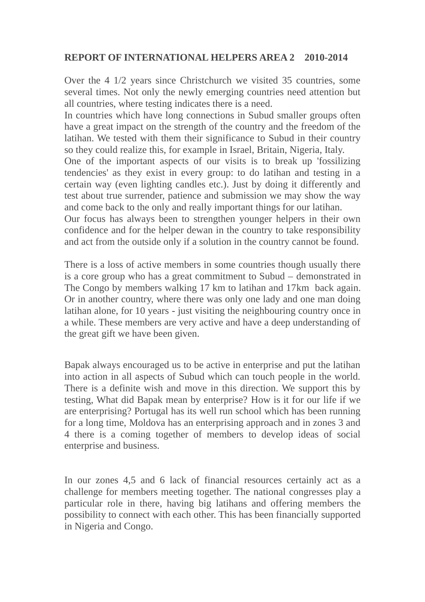## **REPORT OF INTERNATIONAL HELPERS AREA 2 2010-2014**

Over the 4 1/2 years since Christchurch we visited 35 countries, some several times. Not only the newly emerging countries need attention but all countries, where testing indicates there is a need.

In countries which have long connections in Subud smaller groups often have a great impact on the strength of the country and the freedom of the latihan. We tested with them their significance to Subud in their country so they could realize this, for example in Israel, Britain, Nigeria, Italy.

One of the important aspects of our visits is to break up 'fossilizing tendencies' as they exist in every group: to do latihan and testing in a certain way (even lighting candles etc.). Just by doing it differently and test about true surrender, patience and submission we may show the way and come back to the only and really important things for our latihan.

Our focus has always been to strengthen younger helpers in their own confidence and for the helper dewan in the country to take responsibility and act from the outside only if a solution in the country cannot be found.

There is a loss of active members in some countries though usually there is a core group who has a great commitment to Subud – demonstrated in The Congo by members walking 17 km to latihan and 17km back again. Or in another country, where there was only one lady and one man doing latihan alone, for 10 years - just visiting the neighbouring country once in a while. These members are very active and have a deep understanding of the great gift we have been given.

Bapak always encouraged us to be active in enterprise and put the latihan into action in all aspects of Subud which can touch people in the world. There is a definite wish and move in this direction. We support this by testing, What did Bapak mean by enterprise? How is it for our life if we are enterprising? Portugal has its well run school which has been running for a long time, Moldova has an enterprising approach and in zones 3 and 4 there is a coming together of members to develop ideas of social enterprise and business.

In our zones 4,5 and 6 lack of financial resources certainly act as a challenge for members meeting together. The national congresses play a particular role in there, having big latihans and offering members the possibility to connect with each other. This has been financially supported in Nigeria and Congo.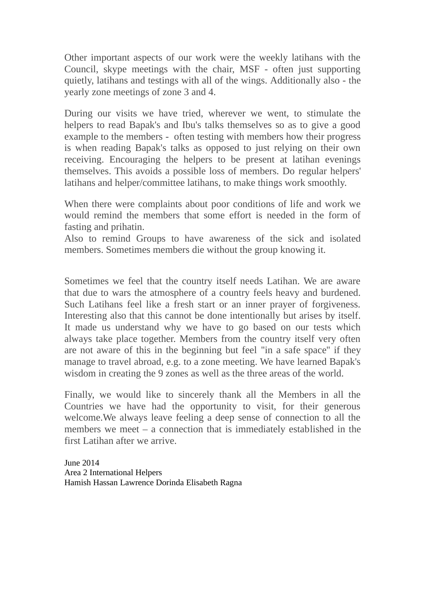Other important aspects of our work were the weekly latihans with the Council, skype meetings with the chair, MSF - often just supporting quietly, latihans and testings with all of the wings. Additionally also - the yearly zone meetings of zone 3 and 4.

During our visits we have tried, wherever we went, to stimulate the helpers to read Bapak's and Ibu's talks themselves so as to give a good example to the members - often testing with members how their progress is when reading Bapak's talks as opposed to just relying on their own receiving. Encouraging the helpers to be present at latihan evenings themselves. This avoids a possible loss of members. Do regular helpers' latihans and helper/committee latihans, to make things work smoothly.

When there were complaints about poor conditions of life and work we would remind the members that some effort is needed in the form of fasting and prihatin.

Also to remind Groups to have awareness of the sick and isolated members. Sometimes members die without the group knowing it.

Sometimes we feel that the country itself needs Latihan. We are aware that due to wars the atmosphere of a country feels heavy and burdened. Such Latihans feel like a fresh start or an inner prayer of forgiveness. Interesting also that this cannot be done intentionally but arises by itself. It made us understand why we have to go based on our tests which always take place together. Members from the country itself very often are not aware of this in the beginning but feel ''in a safe space'' if they manage to travel abroad, e.g. to a zone meeting. We have learned Bapak's wisdom in creating the 9 zones as well as the three areas of the world.

Finally, we would like to sincerely thank all the Members in all the Countries we have had the opportunity to visit, for their generous welcome.We always leave feeling a deep sense of connection to all the members we meet – a connection that is immediately established in the first Latihan after we arrive.

June 2014 Area 2 International Helpers Hamish Hassan Lawrence Dorinda Elisabeth Ragna